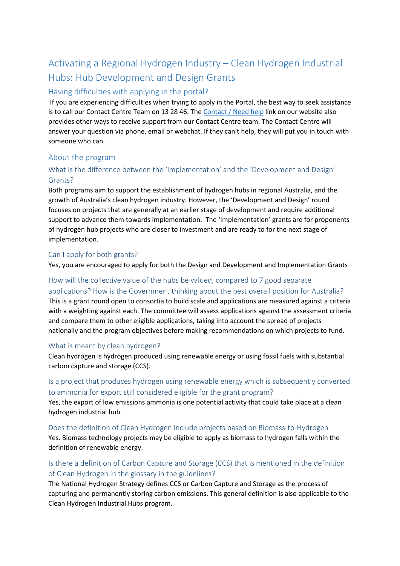# Activating a Regional Hydrogen Industry – Clean Hydrogen Industrial Hubs: Hub Development and Design Grants

## Having difficulties with applying in the portal?

 If you are experiencing difficulties when trying to apply in the Portal, the best way to seek assistance is to call our Contact Centre Team on 13 28 46. The [Contact / Need help](https://business.gov.au/grants-and-programs/hydrogen-hubs-development-grants#contact) link on our website also provides other ways to receive support from our Contact Centre team. The Contact Centre will answer your question via phone, email or webchat. If they can't help, they will put you in touch with someone who can.

## About the program

## What is the difference between the 'Implementation' and the 'Development and Design' Grants?

Both programs aim to support the establishment of hydrogen hubs in regional Australia, and the growth of Australia's clean hydrogen industry. However, the 'Development and Design' round focuses on projects that are generally at an earlier stage of development and require additional support to advance them towards implementation. The 'Implementation' grants are for proponents of hydrogen hub projects who are closer to investment and are ready to for the next stage of implementation.

#### Can I apply for both grants?

Yes, you are encouraged to apply for both the Design and Development and Implementation Grants

## How will the collective value of the hubs be valued, compared to 7 good separate

applications? How is the Government thinking about the best overall position for Australia? This is a grant round open to consortia to build scale and applications are measured against a criteria with a weighting against each. The committee will assess applications against the assessment criteria and compare them to other eligible applications, taking into account the spread of projects nationally and the program objectives before making recommendations on which projects to fund.

#### What is meant by clean hydrogen?

Clean hydrogen is hydrogen produced using renewable energy or using fossil fuels with substantial carbon capture and storage (CCS).

#### Is a project that produces hydrogen using renewable energy which is subsequently converted to ammonia for export still considered eligible for the grant program?

Yes, the export of low emissions ammonia is one potential activity that could take place at a clean hydrogen industrial hub.

Does the definition of Clean Hydrogen include projects based on Biomass-to-Hydrogen Yes. Biomass technology projects may be eligible to apply as biomass to hydrogen falls within the definition of renewable energy.

## Is there a definition of Carbon Capture and Storage (CCS) that is mentioned in the definition of Clean Hydrogen in the glossary in the guidelines?

The National Hydrogen Strategy defines CCS or Carbon Capture and Storage as the process of capturing and permanently storing carbon emissions. This general definition is also applicable to the Clean Hydrogen Industrial Hubs program.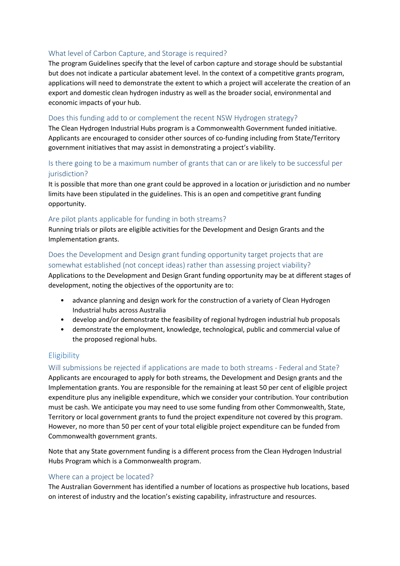#### What level of Carbon Capture, and Storage is required?

The program Guidelines specify that the level of carbon capture and storage should be substantial but does not indicate a particular abatement level. In the context of a competitive grants program, applications will need to demonstrate the extent to which a project will accelerate the creation of an export and domestic clean hydrogen industry as well as the broader social, environmental and economic impacts of your hub.

#### Does this funding add to or complement the recent NSW Hydrogen strategy?

The Clean Hydrogen Industrial Hubs program is a Commonwealth Government funded initiative. Applicants are encouraged to consider other sources of co-funding including from State/Territory government initiatives that may assist in demonstrating a project's viability.

#### Is there going to be a maximum number of grants that can or are likely to be successful per jurisdiction?

It is possible that more than one grant could be approved in a location or jurisdiction and no number limits have been stipulated in the guidelines. This is an open and competitive grant funding opportunity.

#### Are pilot plants applicable for funding in both streams?

Running trials or pilots are eligible activities for the Development and Design Grants and the Implementation grants.

#### Does the Development and Design grant funding opportunity target projects that are somewhat established (not concept ideas) rather than assessing project viability?

Applications to the Development and Design Grant funding opportunity may be at different stages of development, noting the objectives of the opportunity are to:

- advance planning and design work for the construction of a variety of Clean Hydrogen Industrial hubs across Australia
- develop and/or demonstrate the feasibility of regional hydrogen industrial hub proposals
- demonstrate the employment, knowledge, technological, public and commercial value of the proposed regional hubs.

#### **Eligibility**

#### Will submissions be rejected if applications are made to both streams - Federal and State?

Applicants are encouraged to apply for both streams, the Development and Design grants and the Implementation grants. You are responsible for the remaining at least 50 per cent of eligible project expenditure plus any ineligible expenditure, which we consider your contribution. Your contribution must be cash. We anticipate you may need to use some funding from other Commonwealth, State, Territory or local government grants to fund the project expenditure not covered by this program. However, no more than 50 per cent of your total eligible project expenditure can be funded from Commonwealth government grants.

Note that any State government funding is a different process from the Clean Hydrogen Industrial Hubs Program which is a Commonwealth program.

#### Where can a project be located?

The Australian Government has identified a number of locations as prospective hub locations, based on interest of industry and the location's existing capability, infrastructure and resources.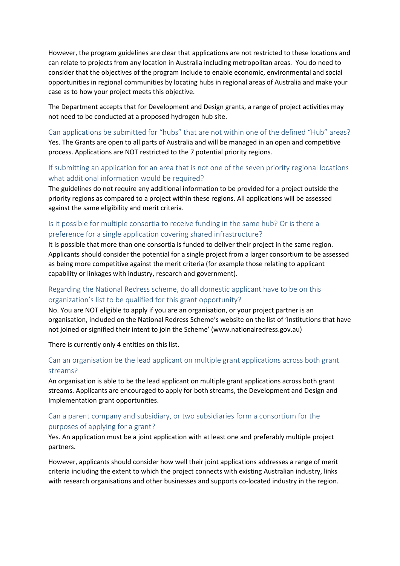However, the program guidelines are clear that applications are not restricted to these locations and can relate to projects from any location in Australia including metropolitan areas. You do need to consider that the objectives of the program include to enable economic, environmental and social opportunities in regional communities by locating hubs in regional areas of Australia and make your case as to how your project meets this objective.

The Department accepts that for Development and Design grants, a range of project activities may not need to be conducted at a proposed hydrogen hub site.

Can applications be submitted for "hubs" that are not within one of the defined "Hub" areas? Yes. The Grants are open to all parts of Australia and will be managed in an open and competitive process. Applications are NOT restricted to the 7 potential priority regions.

#### If submitting an application for an area that is not one of the seven priority regional locations what additional information would be required?

The guidelines do not require any additional information to be provided for a project outside the priority regions as compared to a project within these regions. All applications will be assessed against the same eligibility and merit criteria.

#### Is it possible for multiple consortia to receive funding in the same hub? Or is there a preference for a single application covering shared infrastructure?

It is possible that more than one consortia is funded to deliver their project in the same region. Applicants should consider the potential for a single project from a larger consortium to be assessed as being more competitive against the merit criteria (for example those relating to applicant capability or linkages with industry, research and government).

## Regarding the National Redress scheme, do all domestic applicant have to be on this organization's list to be qualified for this grant opportunity?

No. You are NOT eligible to apply if you are an organisation, or your project partner is an organisation, included on the National Redress Scheme's website on the list of 'Institutions that have not joined or signified their intent to join the Scheme' (www.nationalredress.gov.au)

There is currently only 4 entities on this list.

#### Can an organisation be the lead applicant on multiple grant applications across both grant streams?

An organisation is able to be the lead applicant on multiple grant applications across both grant streams. Applicants are encouraged to apply for both streams, the Development and Design and Implementation grant opportunities.

#### Can a parent company and subsidiary, or two subsidiaries form a consortium for the purposes of applying for a grant?

Yes. An application must be a joint application with at least one and preferably multiple project partners.

However, applicants should consider how well their joint applications addresses a range of merit criteria including the extent to which the project connects with existing Australian industry, links with research organisations and other businesses and supports co-located industry in the region.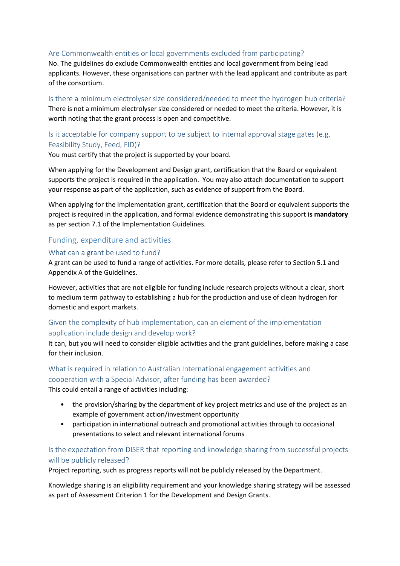#### Are Commonwealth entities or local governments excluded from participating?

No. The guidelines do exclude Commonwealth entities and local government from being lead applicants. However, these organisations can partner with the lead applicant and contribute as part of the consortium.

Is there a minimum electrolyser size considered/needed to meet the hydrogen hub criteria? There is not a minimum electrolyser size considered or needed to meet the criteria. However, it is worth noting that the grant process is open and competitive.

#### Is it acceptable for company support to be subject to internal approval stage gates (e.g. Feasibility Study, Feed, FID)?

You must certify that the project is supported by your board.

When applying for the Development and Design grant, certification that the Board or equivalent supports the project is required in the application. You may also attach documentation to support your response as part of the application, such as evidence of support from the Board.

When applying for the Implementation grant, certification that the Board or equivalent supports the project is required in the application, and formal evidence demonstrating this support **is mandatory** as per section 7.1 of the Implementation Guidelines.

#### Funding, expenditure and activities

#### What can a grant be used to fund?

A grant can be used to fund a range of activities. For more details, please refer to Section 5.1 and Appendix A of the Guidelines.

However, activities that are not eligible for funding include research projects without a clear, short to medium term pathway to establishing a hub for the production and use of clean hydrogen for domestic and export markets.

#### Given the complexity of hub implementation, can an element of the implementation application include design and develop work?

It can, but you will need to consider eligible activities and the grant guidelines, before making a case for their inclusion.

#### What is required in relation to Australian International engagement activities and cooperation with a Special Advisor, after funding has been awarded?

This could entail a range of activities including:

- the provision/sharing by the department of key project metrics and use of the project as an example of government action/investment opportunity
- participation in international outreach and promotional activities through to occasional presentations to select and relevant international forums

## Is the expectation from DISER that reporting and knowledge sharing from successful projects will be publicly released?

Project reporting, such as progress reports will not be publicly released by the Department.

Knowledge sharing is an eligibility requirement and your knowledge sharing strategy will be assessed as part of Assessment Criterion 1 for the Development and Design Grants.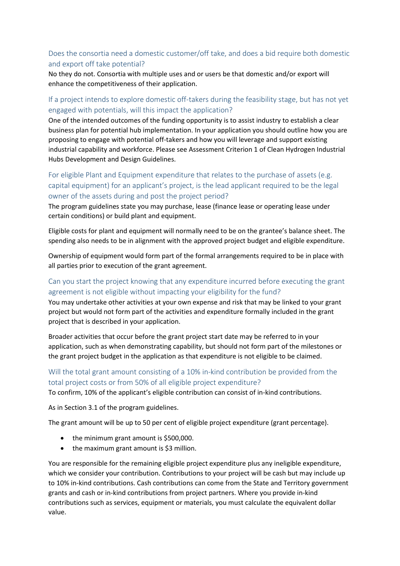## Does the consortia need a domestic customer/off take, and does a bid require both domestic and export off take potential?

No they do not. Consortia with multiple uses and or users be that domestic and/or export will enhance the competitiveness of their application.

## If a project intends to explore domestic off-takers during the feasibility stage, but has not yet engaged with potentials, will this impact the application?

One of the intended outcomes of the funding opportunity is to assist industry to establish a clear business plan for potential hub implementation. In your application you should outline how you are proposing to engage with potential off-takers and how you will leverage and support existing industrial capability and workforce. Please see Assessment Criterion 1 of Clean Hydrogen Industrial Hubs Development and Design Guidelines.

## For eligible Plant and Equipment expenditure that relates to the purchase of assets (e.g. capital equipment) for an applicant's project, is the lead applicant required to be the legal owner of the assets during and post the project period?

The program guidelines state you may purchase, lease (finance lease or operating lease under certain conditions) or build plant and equipment.

Eligible costs for plant and equipment will normally need to be on the grantee's balance sheet. The spending also needs to be in alignment with the approved project budget and eligible expenditure.

Ownership of equipment would form part of the formal arrangements required to be in place with all parties prior to execution of the grant agreement.

#### Can you start the project knowing that any expenditure incurred before executing the grant agreement is not eligible without impacting your eligibility for the fund?

You may undertake other activities at your own expense and risk that may be linked to your grant project but would not form part of the activities and expenditure formally included in the grant project that is described in your application.

Broader activities that occur before the grant project start date may be referred to in your application, such as when demonstrating capability, but should not form part of the milestones or the grant project budget in the application as that expenditure is not eligible to be claimed.

## Will the total grant amount consisting of a 10% in-kind contribution be provided from the total project costs or from 50% of all eligible project expenditure?

To confirm, 10% of the applicant's eligible contribution can consist of in-kind contributions.

As in Section 3.1 of the program guidelines.

The grant amount will be up to 50 per cent of eligible project expenditure (grant percentage).

- the minimum grant amount is \$500,000.
- $\bullet$  the maximum grant amount is \$3 million.

You are responsible for the remaining eligible project expenditure plus any ineligible expenditure, which we consider your contribution. Contributions to your project will be cash but may include up to 10% in-kind contributions. Cash contributions can come from the State and Territory government grants and cash or in-kind contributions from project partners. Where you provide in-kind contributions such as services, equipment or materials, you must calculate the equivalent dollar value.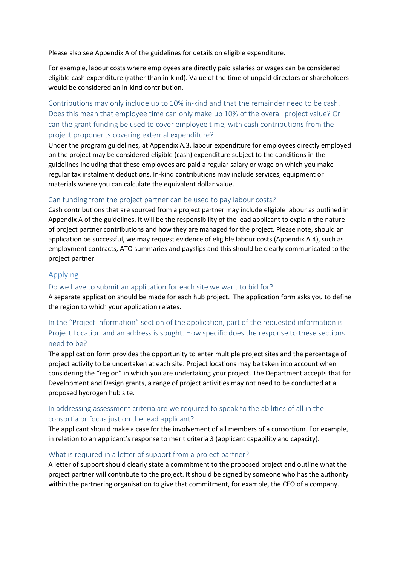Please also see Appendix A of the guidelines for details on eligible expenditure.

For example, labour costs where employees are directly paid salaries or wages can be considered eligible cash expenditure (rather than in-kind). Value of the time of unpaid directors or shareholders would be considered an in-kind contribution.

Contributions may only include up to 10% in-kind and that the remainder need to be cash. Does this mean that employee time can only make up 10% of the overall project value? Or can the grant funding be used to cover employee time, with cash contributions from the project proponents covering external expenditure?

Under the program guidelines, at Appendix A.3, labour expenditure for employees directly employed on the project may be considered eligible (cash) expenditure subject to the conditions in the guidelines including that these employees are paid a regular salary or wage on which you make regular tax instalment deductions. In-kind contributions may include services, equipment or materials where you can calculate the equivalent dollar value.

#### Can funding from the project partner can be used to pay labour costs?

Cash contributions that are sourced from a project partner may include eligible labour as outlined in Appendix A of the guidelines. It will be the responsibility of the lead applicant to explain the nature of project partner contributions and how they are managed for the project. Please note, should an application be successful, we may request evidence of eligible labour costs (Appendix A.4), such as employment contracts, ATO summaries and payslips and this should be clearly communicated to the project partner.

#### Applying

#### Do we have to submit an application for each site we want to bid for?

A separate application should be made for each hub project. The application form asks you to define the region to which your application relates.

## In the "Project Information" section of the application, part of the requested information is Project Location and an address is sought. How specific does the response to these sections need to be?

The application form provides the opportunity to enter multiple project sites and the percentage of project activity to be undertaken at each site. Project locations may be taken into account when considering the "region" in which you are undertaking your project. The Department accepts that for Development and Design grants, a range of project activities may not need to be conducted at a proposed hydrogen hub site.

## In addressing assessment criteria are we required to speak to the abilities of all in the consortia or focus just on the lead applicant?

The applicant should make a case for the involvement of all members of a consortium. For example, in relation to an applicant's response to merit criteria 3 (applicant capability and capacity).

#### What is required in a letter of support from a project partner?

A letter of support should clearly state a commitment to the proposed project and outline what the project partner will contribute to the project. It should be signed by someone who has the authority within the partnering organisation to give that commitment, for example, the CEO of a company.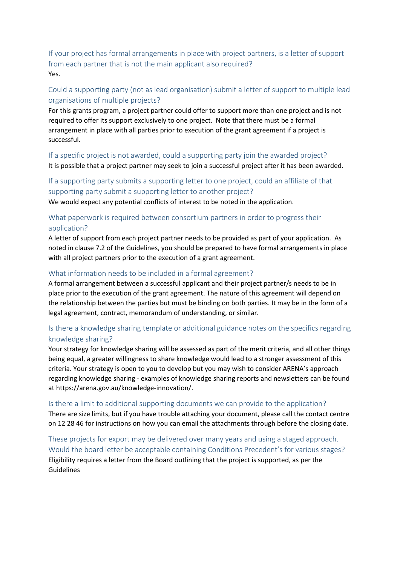If your project has formal arrangements in place with project partners, is a letter of support from each partner that is not the main applicant also required? Yes.

### Could a supporting party (not as lead organisation) submit a letter of support to multiple lead organisations of multiple projects?

For this grants program, a project partner could offer to support more than one project and is not required to offer its support exclusively to one project. Note that there must be a formal arrangement in place with all parties prior to execution of the grant agreement if a project is successful.

If a specific project is not awarded, could a supporting party join the awarded project? It is possible that a project partner may seek to join a successful project after it has been awarded.

## If a supporting party submits a supporting letter to one project, could an affiliate of that supporting party submit a supporting letter to another project?

We would expect any potential conflicts of interest to be noted in the application.

## What paperwork is required between consortium partners in order to progress their application?

A letter of support from each project partner needs to be provided as part of your application. As noted in clause 7.2 of the Guidelines, you should be prepared to have formal arrangements in place with all project partners prior to the execution of a grant agreement.

#### What information needs to be included in a formal agreement?

A formal arrangement between a successful applicant and their project partner/s needs to be in place prior to the execution of the grant agreement. The nature of this agreement will depend on the relationship between the parties but must be binding on both parties. It may be in the form of a legal agreement, contract, memorandum of understanding, or similar.

## Is there a knowledge sharing template or additional guidance notes on the specifics regarding knowledge sharing?

Your strategy for knowledge sharing will be assessed as part of the merit criteria, and all other things being equal, a greater willingness to share knowledge would lead to a stronger assessment of this criteria. Your strategy is open to you to develop but you may wish to consider ARENA's approach regarding knowledge sharing - examples of knowledge sharing reports and newsletters can be found at https://arena.gov.au/knowledge-innovation/.

#### Is there a limit to additional supporting documents we can provide to the application?

There are size limits, but if you have trouble attaching your document, please call the contact centre on 12 28 46 for instructions on how you can email the attachments through before the closing date.

These projects for export may be delivered over many years and using a staged approach. Would the board letter be acceptable containing Conditions Precedent's for various stages? Eligibility requires a letter from the Board outlining that the project is supported, as per the Guidelines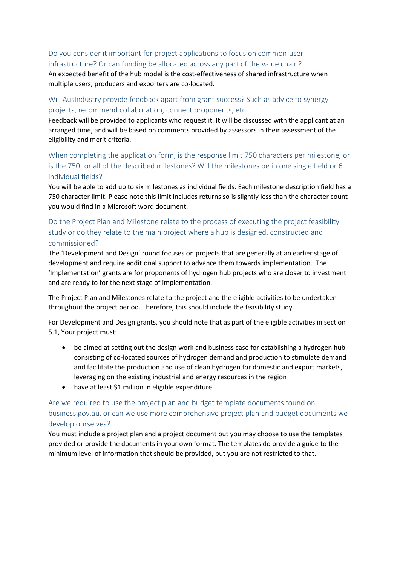## Do you consider it important for project applications to focus on common-user infrastructure? Or can funding be allocated across any part of the value chain?

An expected benefit of the hub model is the cost-effectiveness of shared infrastructure when multiple users, producers and exporters are co-located.

## Will AusIndustry provide feedback apart from grant success? Such as advice to synergy projects, recommend collaboration, connect proponents, etc.

Feedback will be provided to applicants who request it. It will be discussed with the applicant at an arranged time, and will be based on comments provided by assessors in their assessment of the eligibility and merit criteria.

## When completing the application form, is the response limit 750 characters per milestone, or is the 750 for all of the described milestones? Will the milestones be in one single field or 6 individual fields?

You will be able to add up to six milestones as individual fields. Each milestone description field has a 750 character limit. Please note this limit includes returns so is slightly less than the character count you would find in a Microsoft word document.

## Do the Project Plan and Milestone relate to the process of executing the project feasibility study or do they relate to the main project where a hub is designed, constructed and commissioned?

The 'Development and Design' round focuses on projects that are generally at an earlier stage of development and require additional support to advance them towards implementation. The 'Implementation' grants are for proponents of hydrogen hub projects who are closer to investment and are ready to for the next stage of implementation.

The Project Plan and Milestones relate to the project and the eligible activities to be undertaken throughout the project period. Therefore, this should include the feasibility study.

For Development and Design grants, you should note that as part of the eligible activities in section 5.1, Your project must:

- be aimed at setting out the design work and business case for establishing a hydrogen hub consisting of co-located sources of hydrogen demand and production to stimulate demand and facilitate the production and use of clean hydrogen for domestic and export markets, leveraging on the existing industrial and energy resources in the region
- have at least \$1 million in eligible expenditure.

## Are we required to use the project plan and budget template documents found on business.gov.au, or can we use more comprehensive project plan and budget documents we develop ourselves?

You must include a project plan and a project document but you may choose to use the templates provided or provide the documents in your own format. The templates do provide a guide to the minimum level of information that should be provided, but you are not restricted to that.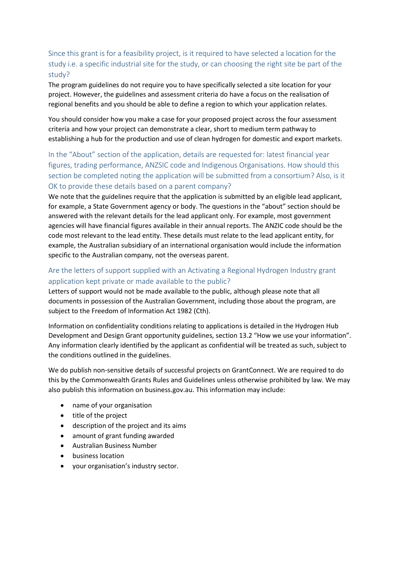## Since this grant is for a feasibility project, is it required to have selected a location for the study i.e. a specific industrial site for the study, or can choosing the right site be part of the study?

The program guidelines do not require you to have specifically selected a site location for your project. However, the guidelines and assessment criteria do have a focus on the realisation of regional benefits and you should be able to define a region to which your application relates.

You should consider how you make a case for your proposed project across the four assessment criteria and how your project can demonstrate a clear, short to medium term pathway to establishing a hub for the production and use of clean hydrogen for domestic and export markets.

## In the "About" section of the application, details are requested for: latest financial year figures, trading performance, ANZSIC code and Indigenous Organisations. How should this section be completed noting the application will be submitted from a consortium? Also, is it OK to provide these details based on a parent company?

We note that the guidelines require that the application is submitted by an eligible lead applicant, for example, a State Government agency or body. The questions in the "about" section should be answered with the relevant details for the lead applicant only. For example, most government agencies will have financial figures available in their annual reports. The ANZIC code should be the code most relevant to the lead entity. These details must relate to the lead applicant entity, for example, the Australian subsidiary of an international organisation would include the information specific to the Australian company, not the overseas parent.

## Are the letters of support supplied with an Activating a Regional Hydrogen Industry grant application kept private or made available to the public?

Letters of support would not be made available to the public, although please note that all documents in possession of the Australian Government, including those about the program, are subject to the Freedom of Information Act 1982 (Cth).

Information on confidentiality conditions relating to applications is detailed in the Hydrogen Hub Development and Design Grant opportunity guidelines, section 13.2 "How we use your information". Any information clearly identified by the applicant as confidential will be treated as such, subject to the conditions outlined in the guidelines.

We do publish non-sensitive details of successful projects on GrantConnect. We are required to do this by the Commonwealth Grants Rules and Guidelines unless otherwise prohibited by law. We may also publish this information on business.gov.au. This information may include:

- name of your organisation
- title of the project
- description of the project and its aims
- amount of grant funding awarded
- Australian Business Number
- **•** business location
- your organisation's industry sector.